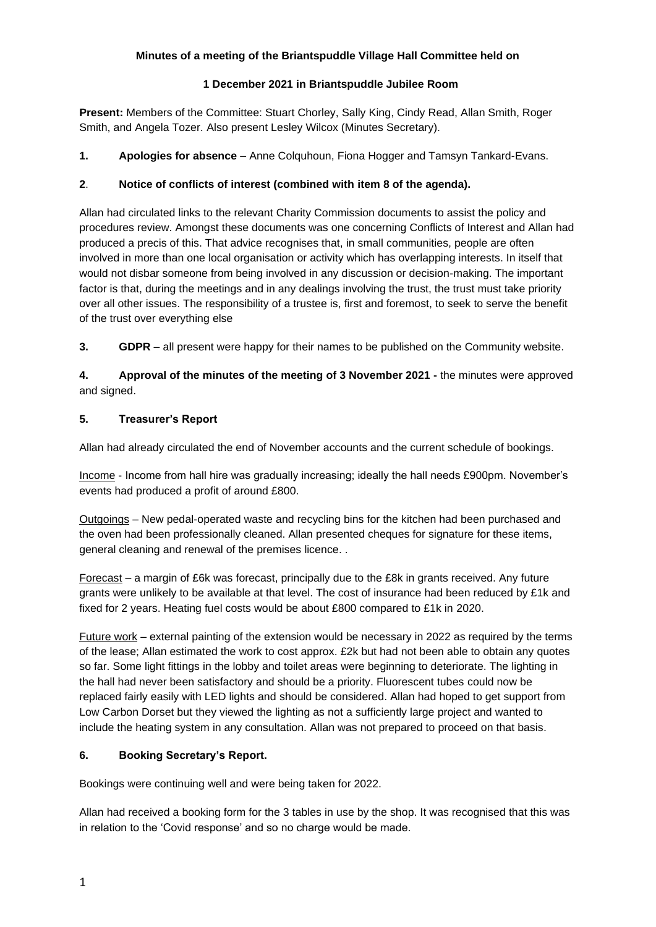### **Minutes of a meeting of the Briantspuddle Village Hall Committee held on**

### **1 December 2021 in Briantspuddle Jubilee Room**

**Present:** Members of the Committee: Stuart Chorley, Sally King, Cindy Read, Allan Smith, Roger Smith, and Angela Tozer. Also present Lesley Wilcox (Minutes Secretary).

**1. Apologies for absence** – Anne Colquhoun, Fiona Hogger and Tamsyn Tankard-Evans.

# **2**. **Notice of conflicts of interest (combined with item 8 of the agenda).**

Allan had circulated links to the relevant Charity Commission documents to assist the policy and procedures review. Amongst these documents was one concerning Conflicts of Interest and Allan had produced a precis of this. That advice recognises that, in small communities, people are often involved in more than one local organisation or activity which has overlapping interests. In itself that would not disbar someone from being involved in any discussion or decision-making. The important factor is that, during the meetings and in any dealings involving the trust, the trust must take priority over all other issues. The responsibility of a trustee is, first and foremost, to seek to serve the benefit of the trust over everything else

**3. GDPR** – all present were happy for their names to be published on the Community website.

**4. Approval of the minutes of the meeting of 3 November 2021 -** the minutes were approved and signed.

## **5. Treasurer's Report**

Allan had already circulated the end of November accounts and the current schedule of bookings.

Income - Income from hall hire was gradually increasing; ideally the hall needs £900pm. November's events had produced a profit of around £800.

Outgoings – New pedal-operated waste and recycling bins for the kitchen had been purchased and the oven had been professionally cleaned. Allan presented cheques for signature for these items, general cleaning and renewal of the premises licence. .

Forecast – a margin of £6k was forecast, principally due to the £8k in grants received. Any future grants were unlikely to be available at that level. The cost of insurance had been reduced by £1k and fixed for 2 years. Heating fuel costs would be about £800 compared to £1k in 2020.

Future work – external painting of the extension would be necessary in 2022 as required by the terms of the lease; Allan estimated the work to cost approx. £2k but had not been able to obtain any quotes so far. Some light fittings in the lobby and toilet areas were beginning to deteriorate. The lighting in the hall had never been satisfactory and should be a priority. Fluorescent tubes could now be replaced fairly easily with LED lights and should be considered. Allan had hoped to get support from Low Carbon Dorset but they viewed the lighting as not a sufficiently large project and wanted to include the heating system in any consultation. Allan was not prepared to proceed on that basis.

## **6. Booking Secretary's Report.**

Bookings were continuing well and were being taken for 2022.

Allan had received a booking form for the 3 tables in use by the shop. It was recognised that this was in relation to the 'Covid response' and so no charge would be made.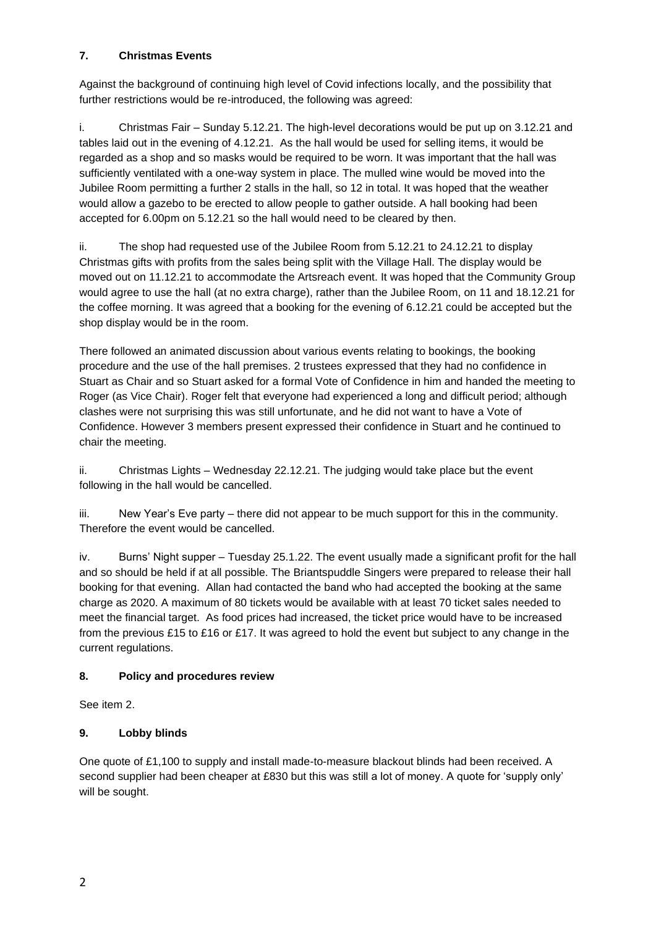# **7. Christmas Events**

Against the background of continuing high level of Covid infections locally, and the possibility that further restrictions would be re-introduced, the following was agreed:

i. Christmas Fair – Sunday 5.12.21. The high-level decorations would be put up on 3.12.21 and tables laid out in the evening of 4.12.21. As the hall would be used for selling items, it would be regarded as a shop and so masks would be required to be worn. It was important that the hall was sufficiently ventilated with a one-way system in place. The mulled wine would be moved into the Jubilee Room permitting a further 2 stalls in the hall, so 12 in total. It was hoped that the weather would allow a gazebo to be erected to allow people to gather outside. A hall booking had been accepted for 6.00pm on 5.12.21 so the hall would need to be cleared by then.

ii. The shop had requested use of the Jubilee Room from 5.12.21 to 24.12.21 to display Christmas gifts with profits from the sales being split with the Village Hall. The display would be moved out on 11.12.21 to accommodate the Artsreach event. It was hoped that the Community Group would agree to use the hall (at no extra charge), rather than the Jubilee Room, on 11 and 18.12.21 for the coffee morning. It was agreed that a booking for the evening of 6.12.21 could be accepted but the shop display would be in the room.

There followed an animated discussion about various events relating to bookings, the booking procedure and the use of the hall premises. 2 trustees expressed that they had no confidence in Stuart as Chair and so Stuart asked for a formal Vote of Confidence in him and handed the meeting to Roger (as Vice Chair). Roger felt that everyone had experienced a long and difficult period; although clashes were not surprising this was still unfortunate, and he did not want to have a Vote of Confidence. However 3 members present expressed their confidence in Stuart and he continued to chair the meeting.

ii. Christmas Lights – Wednesday 22.12.21. The judging would take place but the event following in the hall would be cancelled.

iii. New Year's Eve party – there did not appear to be much support for this in the community. Therefore the event would be cancelled.

iv. Burns' Night supper – Tuesday 25.1.22. The event usually made a significant profit for the hall and so should be held if at all possible. The Briantspuddle Singers were prepared to release their hall booking for that evening. Allan had contacted the band who had accepted the booking at the same charge as 2020. A maximum of 80 tickets would be available with at least 70 ticket sales needed to meet the financial target. As food prices had increased, the ticket price would have to be increased from the previous £15 to £16 or £17. It was agreed to hold the event but subject to any change in the current regulations.

# **8. Policy and procedures review**

See item 2.

# **9. Lobby blinds**

One quote of £1,100 to supply and install made-to-measure blackout blinds had been received. A second supplier had been cheaper at £830 but this was still a lot of money. A quote for 'supply only' will be sought.